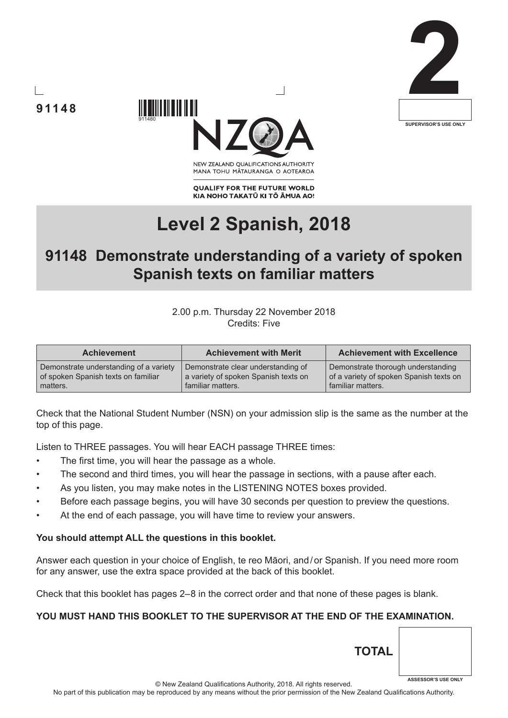





NEW ZEALAND OUALIFICATIONS AUTHORITY MANA TOHU MATAURANGA O AOTEAROA

**QUALIFY FOR THE FUTURE WORLD** KIA NOHO TAKATŪ KI TŌ ĀMUA AO!

# **Level 2 Spanish, 2018**

## **91148 Demonstrate understanding of a variety of spoken Spanish texts on familiar matters**

#### 2.00 p.m. Thursday 22 November 2018 Credits: Five

| <b>Achievement</b>                     | <b>Achievement with Merit</b>        | <b>Achievement with Excellence</b>      |
|----------------------------------------|--------------------------------------|-----------------------------------------|
| Demonstrate understanding of a variety | Demonstrate clear understanding of   | Demonstrate thorough understanding      |
| of spoken Spanish texts on familiar    | a variety of spoken Spanish texts on | of a variety of spoken Spanish texts on |
| matters.                               | familiar matters.                    | familiar matters.                       |

Check that the National Student Number (NSN) on your admission slip is the same as the number at the top of this page.

Listen to THREE passages. You will hear EACH passage THREE times:

The first time, you will hear the passage as a whole.

911480

- The second and third times, you will hear the passage in sections, with a pause after each.
- As you listen, you may make notes in the LISTENING NOTES boxes provided.
- Before each passage begins, you will have 30 seconds per question to preview the questions.
- At the end of each passage, you will have time to review your answers.

#### **You should attempt ALL the questions in this booklet.**

Answer each question in your choice of English, te reo Māori, and/or Spanish. If you need more room for any answer, use the extra space provided at the back of this booklet.

Check that this booklet has pages 2–8 in the correct order and that none of these pages is blank.

#### **YOU MUST HAND THIS BOOKLET TO THE SUPERVISOR AT THE END OF THE EXAMINATION.**

© New Zealand Qualifications Authority, 2018. All rights reserved. **ASSESSOR'S USE ONLY**

No part of this publication may be reproduced by any means without the prior permission of the New Zealand Qualifications Authority.

**TOTAL**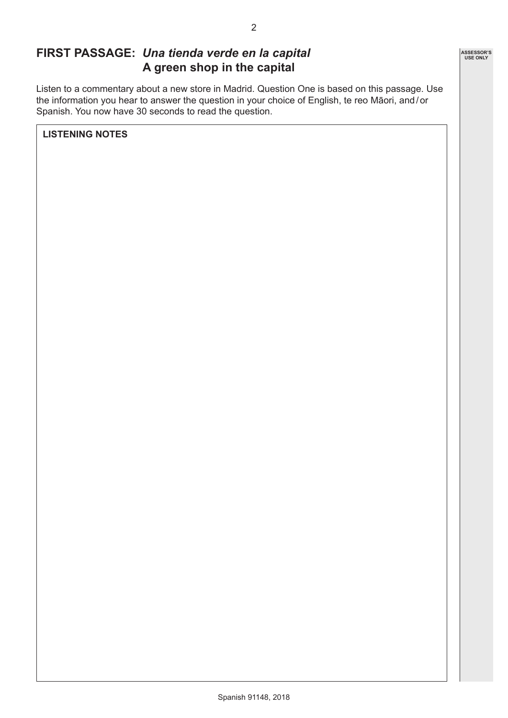### **FIRST PASSAGE:** *Una tienda verde en la capital* **A green shop in the capital**

Listen to a commentary about a new store in Madrid. Question One is based on this passage. Use the information you hear to answer the question in your choice of English, te reo Māori, and/or Spanish. You now have 30 seconds to read the question.

**LISTENING NOTES**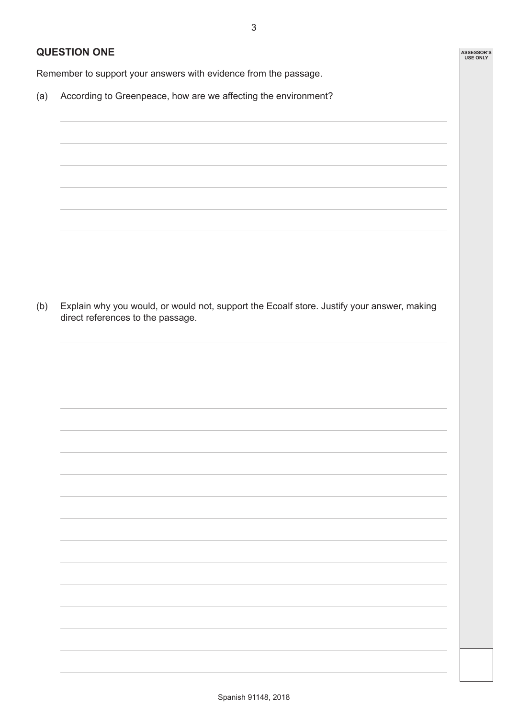3

**ASSESSOR'S USE ONLY**

#### **QUESTION ONE**

Remember to support your answers with evidence from the passage.

(a) According to Greenpeace, how are we affecting the environment?

(b) Explain why you would, or would not, support the Ecoalf store. Justify your answer, making direct references to the passage.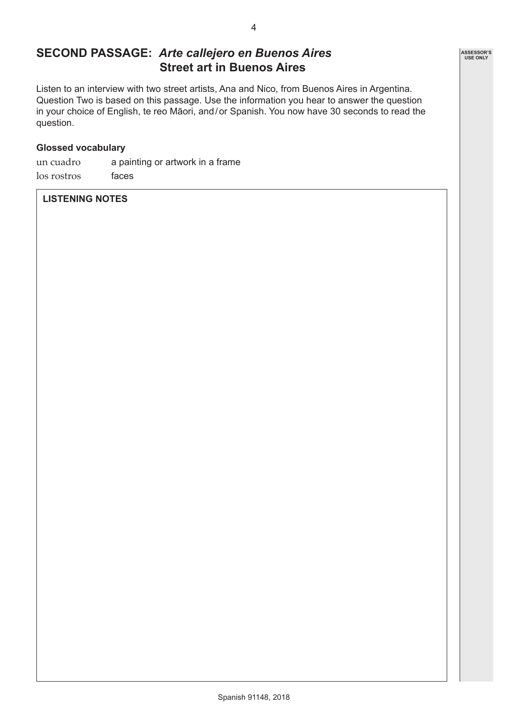#### **SECOND PASSAGE:** *Arte callejero en Buenos Aires* **Street art in Buenos Aires**

Listen to an interview with two street artists, Ana and Nico, from Buenos Aires in Argentina. Question Two is based on this passage. Use the information you hear to answer the question in your choice of English, te reo Māori, and/or Spanish. You now have 30 seconds to read the question.

#### **Glossed vocabulary**

un cuadro a painting or artwork in a frame los rostros faces

#### **LISTENING NOTES**

4

**ASSESSOR'S USE ONLY**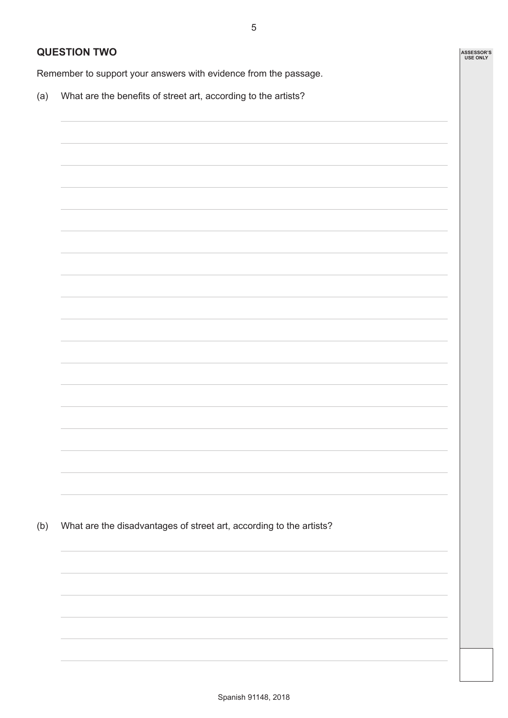5

**ASSESSOR'S USE ONLY**

#### **QUESTION TWO**

Remember to support your answers with evidence from the passage.

(a) What are the benefits of street art, according to the artists?

(b) What are the disadvantages of street art, according to the artists?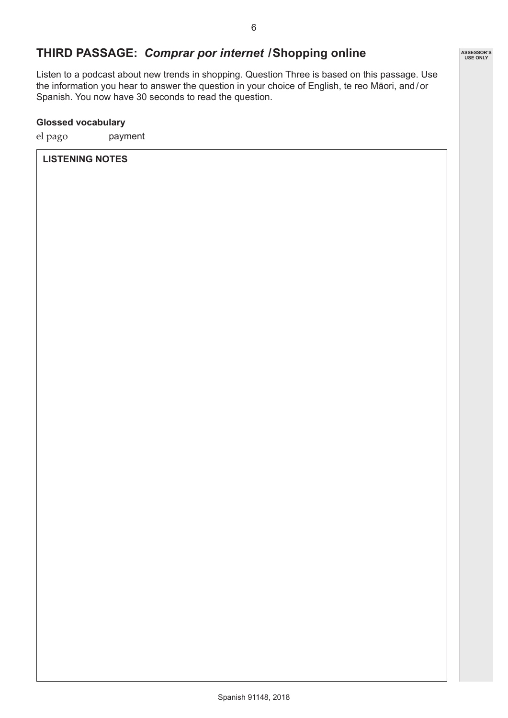**ASSESSOR'S USE ONLY**

## **THIRD PASSAGE:** *Comprar por internet* **/Shopping online**

Listen to a podcast about new trends in shopping. Question Three is based on this passage. Use the information you hear to answer the question in your choice of English, te reo Māori, and/or Spanish. You now have 30 seconds to read the question.

#### **Glossed vocabulary**

el pago payment

#### **LISTENING NOTES**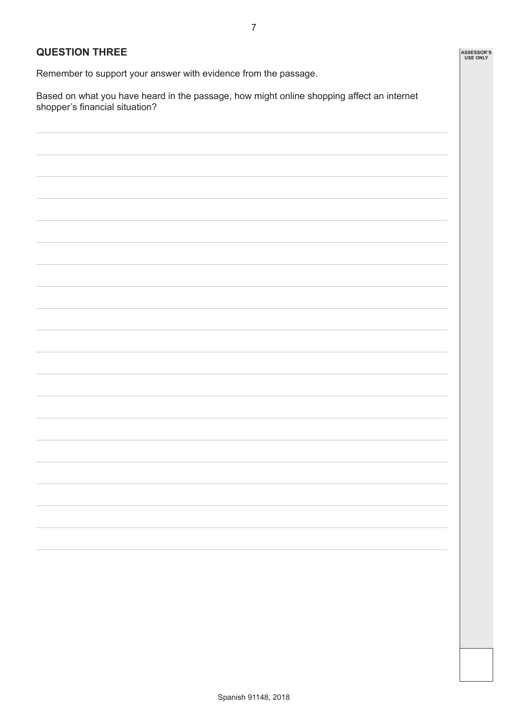#### **QUESTION THREE**

Remember to support your answer with evidence from the passage.

Based on what you have heard in the passage, how might online shopping affect an internet shopper's financial situation?

| ASSESSOR'S<br>USE ONLY |
|------------------------|
|                        |
|                        |
|                        |